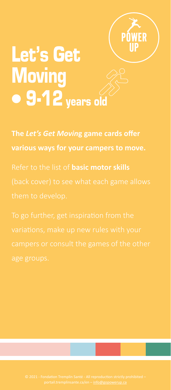

# Let's Get **Moving**  $\bullet$  9-12 years old

**The** *Let's Get Movin***g game cards offer** 

Refer to the list of **basic motor skills**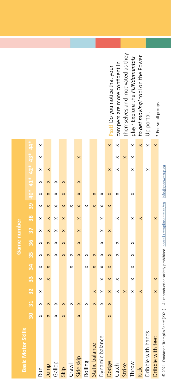| l<br>١                             |
|------------------------------------|
|                                    |
| $\overline{a}$<br>ś<br>ï<br>í<br>í |
|                                    |
| I<br>١                             |
| Ï                                  |
|                                    |
|                                    |
| í                                  |
| i<br>I                             |
| í<br>ś<br>I                        |
| ī<br>ׇ֓֕                           |
| ļ                                  |
| ï                                  |
| ł                                  |
| ï<br>I                             |
|                                    |
| ć<br>É                             |
|                                    |
| ç                                  |
| Ï                                  |
| ۱<br>ś                             |
|                                    |
|                                    |
| ï<br>Ļ                             |
| ï                                  |
| i                                  |
| I<br>Ì                             |
| ļ<br>ï<br>ī<br>i<br>$\overline{a}$ |
| ׅ֚֚֚֚֚֚֚֚֚֚֚֬֡֡֡֡֡֡֡֡֡֝            |
| ā<br>I                             |
| j<br>ł                             |
| j<br>ׇ֚֬֡<br>S<br>l<br>į           |
|                                    |
| t                                  |
| í                                  |
| ï                                  |
| i<br>ï<br>l                        |
| l                                  |
| I                                  |
|                                    |
| ï<br>j                             |
| í<br>ï<br>l                        |
| i                                  |
| ł<br>ļ<br>ł<br>j<br>ı              |

| Basic Motor Skills |                |               |                 |   |                |          |          | Game number     |          |          |                          |          |          |          |                                              |
|--------------------|----------------|---------------|-----------------|---|----------------|----------|----------|-----------------|----------|----------|--------------------------|----------|----------|----------|----------------------------------------------|
|                    | $\frac{1}{20}$ | $\frac{1}{3}$ | $\overline{32}$ | m | $\frac{34}{5}$ | .<br>თ   | 36       | $\overline{37}$ | 38       |          | $39$ 40* 41* 42* 43* 44* |          |          |          |                                              |
| Run                | ×              | ×             | ×               | × | ×              | ×        |          |                 | $\times$ |          |                          |          |          | ×        | ×                                            |
| Jump               | ×              | ×             |                 | × | ×              | ×        | $\times$ | ×               | ×        |          |                          |          | ×        |          |                                              |
| Gallop             | $\times$       |               |                 |   |                | $\times$ |          | $\times$        | $\times$ |          |                          |          |          |          |                                              |
| Skip               | ×              |               |                 |   |                | ×        | $\times$ | ×               | $\times$ | ×        | ×                        | ×        |          |          |                                              |
| Crawl              |                |               |                 |   | ×              |          |          |                 |          | $\times$ |                          |          |          |          |                                              |
| Side skip          | $\times$       | ×             |                 |   |                | ×        | $\times$ | $\times$        | $\times$ |          | $\times$                 | $\times$ |          | ×        |                                              |
| Rolling            |                | ×             |                 |   | ×              |          |          |                 |          |          |                          |          |          |          |                                              |
| Static balance     |                | $\times$      | $\times$        |   | $\times$       | $\times$ |          |                 |          | ×        | $\times$                 |          |          |          |                                              |
| Dynamic balance    |                | ×             | $\times$        | × | ×              | ×        | ×        |                 | $\times$ |          |                          |          |          |          |                                              |
| Dodge              | $\times$       | ×             | $\times$        | × | ×              | $\times$ |          | $\times$        |          |          |                          |          | ×        |          | Psst! Do you notice that your<br>$\times$    |
| Catch              |                |               |                 | × |                | $\times$ | $\times$ |                 | $\times$ |          |                          |          | ×        | ×        | campers are more confident in                |
| Strike             |                |               | $\times$        |   |                |          |          |                 |          |          |                          |          |          | $\times$ | themselves and motivated as they             |
| Throw              |                |               | $\times$        | × | ×              | ×        | $\times$ |                 | $\times$ |          | $\times$                 |          | ×        |          | play? Explore the FUNdamentals               |
| Kick               |                |               | $\times$        |   |                |          |          |                 | $\times$ |          |                          |          |          |          | to get moving! tool on the Power<br>$\times$ |
| Dribble with hands |                |               |                 |   |                |          |          |                 |          |          |                          |          | $\times$ |          | Up portal<br>$\times$                        |
| Dribble with feet  |                |               | ×               |   |                |          |          |                 | $\times$ |          |                          |          |          |          | * For small groups                           |
|                    |                |               |                 |   |                |          |          |                 |          |          |                          |          |          |          |                                              |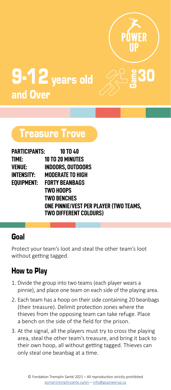

# 9-12 years old and Over

# Treasure Trove

| PARTICIPANTS: | <b>10 TO 40</b>                        |
|---------------|----------------------------------------|
| time:         | <b>10 TO 20 MINUTES</b>                |
| VENUE:        | <b>INDOORS, OUTDOORS</b>               |
| INTENSITY:    | <b>MODERATE TO HIGH</b>                |
| EOUIPMENT:    | <b>FORTY BEANBAGS</b>                  |
|               | TWO HOOPS                              |
|               | <b>TWO BENCHES</b>                     |
|               | ONE PINNIE/VEST PER PLAYER (TWO TEAMS, |
|               | <b>TWO DIFFERENT COLOURS)</b>          |

### Goal

Protect your team's loot and steal the other team's loot without getting tagged.

- 1. Divide the group into two teams (each player wears a pinnie), and place one team on each side of the playing area.
- 2. Each team has a hoop on their side containing 20 beanbags (their treasure). Delimit protection zones where the thieves from the opposing team can take refuge. Place a bench on the side of the field for the prison.
- 3. At the signal, all the players must try to cross the playing area, steal the other team's treasure, and bring it back to their own hoop, all without getting tagged. Thieves can only steal one beanbag at a time.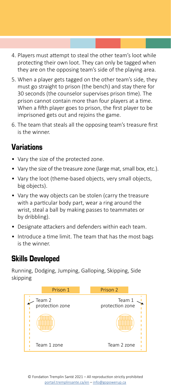- 4. Players must attempt to steal the other team's loot while protecting their own loot. They can only be tagged when they are on the opposing team's side of the playing area.
- 5. When a player gets tagged on the other team's side, they must go straight to prison (the bench) and stay there for 30 seconds (the counselor supervises prison time). The prison cannot contain more than four players at a time. When a fifth player goes to prison, the first player to be imprisoned gets out and rejoins the game.
- 6. The team that steals all the opposing team's treasure first is the winner.

- Vary the size of the protected zone.
- Vary the size of the treasure zone (large mat, small box, etc.).
- Vary the loot (theme-based objects, very small objects, big objects).
- Vary the way objects can be stolen (carry the treasure with a particular body part, wear a ring around the wrist, steal a ball by making passes to teammates or by dribbling).
- Designate attackers and defenders within each team.
- Introduce a time limit. The team that has the most bags is the winner.

### Skills Developed

Running, Dodging, Jumping, Galloping, Skipping, Side skipping

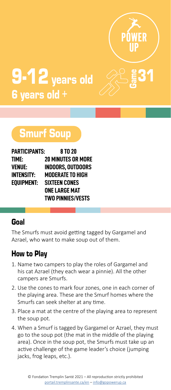

# $9-12$  years old 6 years old +

# Smurf Soup

| <b>PARTICIPANTS:</b> | 8 TO 20                   |
|----------------------|---------------------------|
| TIME:                | <b>20 MINUTES OR MORE</b> |
| <b>VENUE:</b>        | INDOORS. OUTDOORS         |
| <b>INTENSITY:</b>    | <b>MODERATE TO HIGH</b>   |
| <b>EOUIPMENT:</b>    | <b>SIXTEEN CONES</b>      |
|                      | <b>ONE LARGE MAT</b>      |
|                      | <b>TWO PINNIES/VESTS</b>  |

#### Goal

The Smurfs must avoid getting tagged by Gargamel and Azrael, who want to make soup out of them.

- 1. Name two campers to play the roles of Gargamel and his cat Azrael (they each wear a pinnie). All the other campers are Smurfs.
- 2. Use the cones to mark four zones, one in each corner of the playing area. These are the Smurf homes where the Smurfs can seek shelter at any time.
- 3. Place a mat at the centre of the playing area to represent the soup pot.
- 4. When a Smurf is tagged by Gargamel or Azrael, they must go to the soup pot (the mat in the middle of the playing area). Once in the soup pot, the Smurfs must take up an active challenge of the game leader's choice (jumping jacks, frog leaps, etc.).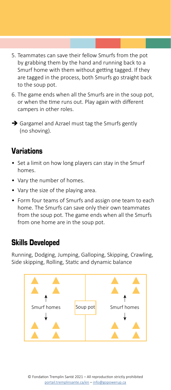- 5. Teammates can save their fellow Smurfs from the pot by grabbing them by the hand and running back to a Smurf home with them without getting tagged. If they are tagged in the process, both Smurfs go straight back to the soup pot.
- 6. The game ends when all the Smurfs are in the soup pot, or when the time runs out. Play again with different campers in other roles.
- $\rightarrow$  Gargamel and Azrael must tag the Smurfs gently (no shoving).

- Set a limit on how long players can stay in the Smurf homes.
- Vary the number of homes.
- Vary the size of the playing area.
- Form four teams of Smurfs and assign one team to each home. The Smurfs can save only their own teammates from the soup pot. The game ends when all the Smurfs from one home are in the soup pot.

### Skills Developed

Running, Dodging, Jumping, Galloping, Skipping, Crawling, Side skipping, Rolling, Static and dynamic balance

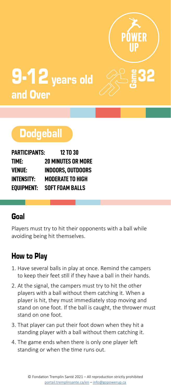

# $9.12$  years old  $\sim$   $8.32$ and Over

# **Dodgeball**

| PARTICIPANTS:     | <b>12 TO 30</b>           |
|-------------------|---------------------------|
| TIME:             | <b>20 MINUTES OR MORE</b> |
| VENUE:            | <b>INDOORS, OUTDOORS</b>  |
| <b>INTENSITY:</b> | <b>MODERATE TO HIGH</b>   |
| EQUIPMENT:        | <b>SOFT FOAM BALLS</b>    |

### Goal

Players must try to hit their opponents with a ball while avoiding being hit themselves.

- 1. Have several balls in play at once. Remind the campers to keep their feet still if they have a ball in their hands.
- 2. At the signal, the campers must try to hit the other players with a ball without them catching it. When a player is hit, they must immediately stop moving and stand on one foot. If the ball is caught, the thrower must stand on one foot.
- 3. That player can put their foot down when they hit a standing player with a ball without them catching it.
- 4. The game ends when there is only one player left standing or when the time runs out.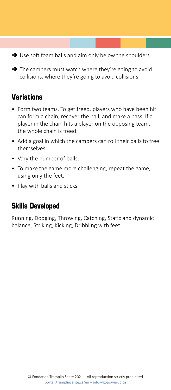$\rightarrow$  Use soft foam balls and aim only below the shoulders.

 $\rightarrow$  The campers must watch where they're going to avoid collisions. where they're going to avoid collisions.

## Variations

- Form two teams. To get freed, players who have been hit can form a chain, recover the ball, and make a pass. If a player in the chain hits a player on the opposing team, the whole chain is freed.
- Add a goal in which the campers can roll their balls to free themselves.
- Vary the number of balls.
- To make the game more challenging, repeat the game, using only the feet.
- Play with balls and sticks

#### Skills Developed

Running, Dodging, Throwing, Catching, Static and dynamic balance, Striking, Kicking, Dribbling with feet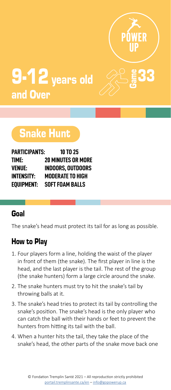

# $9.12$  years old  $\sim$   $833$ and Over

# Snake Hunt

| PARTICIPANTS:     | 10 TO 25                  |
|-------------------|---------------------------|
| TIME:             | <b>20 MINUTES OR MORE</b> |
| VENUE:            | <b>INDOORS. OUTDOORS</b>  |
| <b>INTENSITY:</b> | <b>MODERATE TO HIGH</b>   |
| EOUIPMENT:        | <b>SOFT FOAM BALLS</b>    |

### Goal

The snake's head must protect its tail for as long as possible.

- 1. Four players form a line, holding the waist of the player in front of them (the snake). The first player in line is the head, and the last player is the tail. The rest of the group (the snake hunters) form a large circle around the snake.
- 2. The snake hunters must try to hit the snake's tail by throwing balls at it.
- 3. The snake's head tries to protect its tail by controlling the snake's position. The snake's head is the only player who can catch the ball with their hands or feet to prevent the hunters from hitting its tail with the ball.
- 4. When a hunter hits the tail, they take the place of the snake's head, the other parts of the snake move back one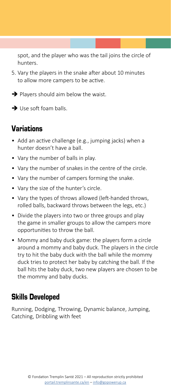spot, and the player who was the tail joins the circle of hunters.

- 5. Vary the players in the snake after about 10 minutes to allow more campers to be active.
- $\rightarrow$  Players should aim below the waist.
- $\rightarrow$  Use soft foam balls.

# Variations

- Add an active challenge (e.g., jumping jacks) when a hunter doesn't have a ball.
- Vary the number of balls in play.
- Vary the number of snakes in the centre of the circle.
- Vary the number of campers forming the snake.
- Vary the size of the hunter's circle.
- Vary the types of throws allowed (left-handed throws, rolled balls, backward throws between the legs, etc.)
- Divide the players into two or three groups and play the game in smaller groups to allow the campers more opportunities to throw the ball.
- Mommy and baby duck game: the players form a circle around a mommy and baby duck. The players in the circle try to hit the baby duck with the ball while the mommy duck tries to protect her baby by catching the ball. If the ball hits the baby duck, two new players are chosen to be the mommy and baby ducks.

### Skills Developed

Running, Dodging, Throwing, Dynamic balance, Jumping, Catching, Dribbling with feet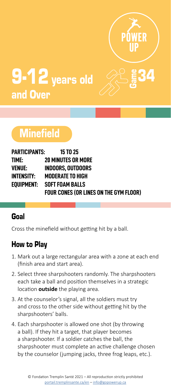

# **9-12** years old and Over

# **Minefield**

| PARTICIPANTS: | <b>15 TO 25</b>                               |
|---------------|-----------------------------------------------|
| TIME:         | <b>20 MINUTES OR MORE</b>                     |
| VENUE:        | INDOORS. OUTDOORS                             |
| INTENSITY:    | <b>MODERATE TO HIGH</b>                       |
| EOUIPMENT:    | <b>SOFT FOAM BALLS</b>                        |
|               | <b>FOUR CONES (OR LINES ON THE GYM FLOOR)</b> |

### Goal

Cross the minefield without getting hit by a ball.

- 1. Mark out a large rectangular area with a zone at each end (finish area and start area).
- 2. Select three sharpshooters randomly. The sharpshooters each take a ball and position themselves in a strategic location **outside** the playing area.
- 3. At the counselor's signal, all the soldiers must try and cross to the other side without getting hit by the sharpshooters' balls.
- 4. Each sharpshooter is allowed one shot (by throwing a ball). If they hit a target, that player becomes a sharpshooter. If a soldier catches the ball, the sharpshooter must complete an active challenge chosen by the counselor (jumping jacks, three frog leaps, etc.).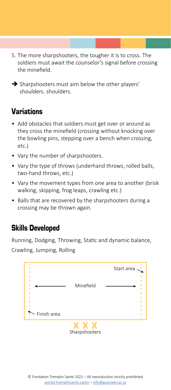5. The more sharpshooters, the tougher it is to cross. The soldiers must await the counselor's signal before crossing the minefield.

 $\rightarrow$  Sharpshooters must aim below the other players' shoulders. shoulders.

## Variations

- Add obstacles that soldiers must get over or around as they cross the minefield (crossing without knocking over the bowling pins, stepping over a bench when crossing, etc.)
- Vary the number of sharpshooters.
- Vary the type of throws (underhand throws, rolled balls, two-hand throws, etc.)
- Vary the movement types from one area to another (brisk walking, skipping, frog leaps, crawling etc.)
- Balls that are recovered by the sharpshooters during a crossing may be thrown again.

### Skills Developed

Running, Dodging, Throwing, Static and dynamic balance, Crawling, Jumping, Rolling

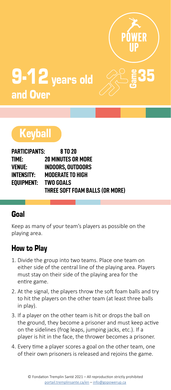

# $9.12$  years old  $\sim$   $85$ and Over

# **Keyball**

| PARTICIPANTS: | 8 TO 20                         |
|---------------|---------------------------------|
| TIME:         | <b>20 MINUTES OR MORE</b>       |
| VENUE:        | <b>INDOORS. OUTDOORS</b>        |
| INTENSITY:    | <b>MODERATE TO HIGH</b>         |
| EOUIPMENT:    | <b>TWO GOALS</b>                |
|               | THREE SOFT FOAM BALLS (OR MORE) |

#### Goal

Keep as many of your team's players as possible on the playing area.

- 1. Divide the group into two teams. Place one team on either side of the central line of the playing area. Players must stay on their side of the playing area for the entire game.
- 2. At the signal, the players throw the soft foam balls and try to hit the players on the other team (at least three balls in play).
- 3. If a player on the other team is hit or drops the ball on the ground, they become a prisoner and must keep active on the sidelines (frog leaps, jumping jacks, etc.). If a player is hit in the face, the thrower becomes a prisoner.
- 4. Every time a player scores a goal on the other team, one of their own prisoners is released and rejoins the game.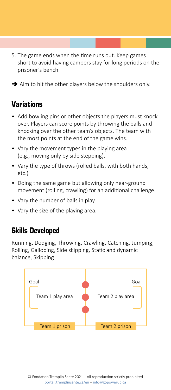- 5. The game ends when the time runs out. Keep games short to avoid having campers stay for long periods on the prisoner's bench.
- $\rightarrow$  Aim to hit the other players below the shoulders only.

- Add bowling pins or other objects the players must knock over. Players can score points by throwing the balls and knocking over the other team's objects. The team with the most points at the end of the game wins.
- Vary the movement types in the playing area (e.g., moving only by side stepping).
- Vary the type of throws (rolled balls, with both hands, etc.)
- Doing the same game but allowing only near-ground movement (rolling, crawling) for an additional challenge.
- Vary the number of balls in play.
- Vary the size of the playing area.

#### Skills Developed

Running, Dodging, Throwing, Crawling, Catching, Jumping, Rolling, Galloping, Side skipping, Static and dynamic balance, Skipping

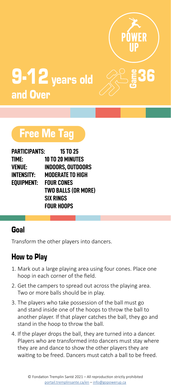

36

# 9-12 years old and Over

# Free Me Tag

| <b>PARTICIPANTS:</b> | <b>15 TO 25</b>            |
|----------------------|----------------------------|
| TIME:                | 10 TO 20 MINUTES           |
| VENUE:               | INDOORS. OUTDOORS          |
| <b>INTENSITY:</b>    | <b>MODERATE TO HIGH</b>    |
| EQUIPMENT:           | <b>FOUR CONES</b>          |
|                      | <b>TWO BALLS (OR MORE)</b> |
|                      | <b>SIX RINGS</b>           |
|                      | <b>FOUR HOOPS</b>          |

### Goal

Transform the other players into dancers.

- 1. Mark out a large playing area using four cones. Place one hoop in each corner of the field.
- 2. Get the campers to spread out across the playing area. Two or more balls should be in play.
- 3. The players who take possession of the ball must go and stand inside one of the hoops to throw the ball to another player. If that player catches the ball, they go and stand in the hoop to throw the ball.
- 4. If the player drops the ball, they are turned into a dancer. Players who are transformed into dancers must stay where they are and dance to show the other players they are waiting to be freed. Dancers must catch a ball to be freed.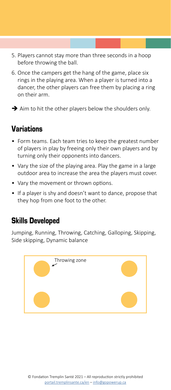- 5. Players cannot stay more than three seconds in a hoop before throwing the ball.
- 6. Once the campers get the hang of the game, place six rings in the playing area. When a player is turned into a dancer, the other players can free them by placing a ring on their arm.
- $\rightarrow$  Aim to hit the other players below the shoulders only.

- Form teams. Each team tries to keep the greatest number of players in play by freeing only their own players and by turning only their opponents into dancers.
- Vary the size of the playing area. Play the game in a large outdoor area to increase the area the players must cover.
- Vary the movement or thrown options.
- If a player is shy and doesn't want to dance, propose that they hop from one foot to the other.

### Skills Developed

Jumping, Running, Throwing, Catching, Galloping, Skipping, Side skipping, Dynamic balance

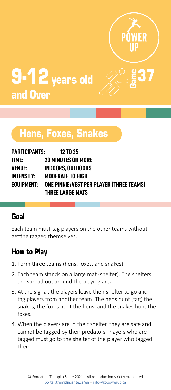

# $9.12$  years old  $\sqrt{25}$   $\sqrt{37}$ and Over

# Hens, Foxes, Snakes

| PARTICIPANTS: | <b>12 TO 35</b>                                     |
|---------------|-----------------------------------------------------|
| TIME:         | <b>20 MINUTES OR MORE</b>                           |
| VENUE:        | <b>INDOORS, OUTDOORS</b>                            |
| INTENSITY:    | <b>MODERATE TO HIGH</b>                             |
|               | EQUIPMENT: ONE PINNIE/VEST PER PLAYER (THREE TEAMS) |
|               | THREE LARGE MATS                                    |

#### Goal

Each team must tag players on the other teams without getting tagged themselves.

- 1. Form three teams (hens, foxes, and snakes).
- 2. Each team stands on a large mat (shelter). The shelters are spread out around the playing area.
- 3. At the signal, the players leave their shelter to go and tag players from another team. The hens hunt (tag) the snakes, the foxes hunt the hens, and the snakes hunt the foxes.
- 4. When the players are in their shelter, they are safe and cannot be tagged by their predators. Players who are tagged must go to the shelter of the player who tagged them.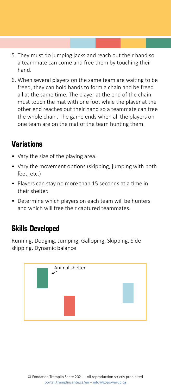- 5. They must do jumping jacks and reach out their hand so a teammate can come and free them by touching their hand.
- 6. When several players on the same team are waiting to be freed, they can hold hands to form a chain and be freed all at the same time. The player at the end of the chain must touch the mat with one foot while the player at the other end reaches out their hand so a teammate can free the whole chain. The game ends when all the players on one team are on the mat of the team hunting them.

- Vary the size of the playing area.
- Vary the movement options (skipping, jumping with both feet, etc.)
- Players can stay no more than 15 seconds at a time in their shelter.
- Determine which players on each team will be hunters and which will free their captured teammates.

### Skills Developed

Running, Dodging, Jumping, Galloping, Skipping, Side skipping, Dynamic balance

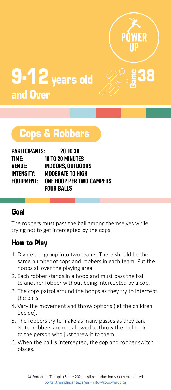

# $9.12$  years old  $\%$   $8$ and Over

# Cops & Robbers

| <b>PARTICIPANTS:</b> | <b>20 TO 30</b>           |
|----------------------|---------------------------|
| TIME:                | <b>10 TO 20 MINUTES</b>   |
| <b>VENUE:</b>        | <b>INDOORS, OUTDOORS</b>  |
| <b>INTENSITY:</b>    | <b>MODERATE TO HIGH</b>   |
| EOUIPMENT:           | ONE HOOP PER TWO CAMPERS. |
|                      | <b>FOUR BALLS</b>         |

### Goal

The robbers must pass the ball among themselves while trying not to get intercepted by the cops.

- 1. Divide the group into two teams. There should be the same number of cops and robbers in each team. Put the hoops all over the playing area.
- 2. Each robber stands in a hoop and must pass the ball to another robber without being intercepted by a cop.
- 3. The cops patrol around the hoops as they try to intercept the balls.
- 4. Vary the movement and throw options (let the children decide).
- 5. The robbers try to make as many passes as they can. Note: robbers are not allowed to throw the ball back to the person who just threw it to them.
- 6. When the ball is intercepted, the cop and robber switch places.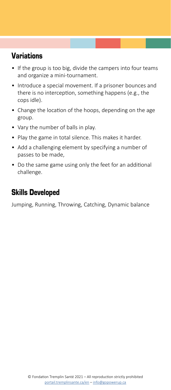- If the group is too big, divide the campers into four teams and organize a mini-tournament.
- Introduce a special movement. If a prisoner bounces and there is no interception, something happens (e.g., the cops idle).
- Change the location of the hoops, depending on the age group.
- Vary the number of balls in play.
- Play the game in total silence. This makes it harder.
- Add a challenging element by specifying a number of passes to be made,
- Do the same game using only the feet for an additional challenge.

## Skills Developed

Jumping, Running, Throwing, Catching, Dynamic balance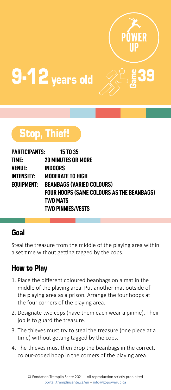

# $9-12$  years old  $\bigotimes^{\!\!\circ\!}$   $\mathsf{\mathsf{g}}$  39

# Stop, Thief!

| PARTICIPANTS: | <b>15 TO 35</b>                           |
|---------------|-------------------------------------------|
| TIME:         | <b>20 MINUTES OR MORE</b>                 |
| VENUE:        | <b>INDOORS</b>                            |
| INTENSITY:    | <b>MODERATE TO HIGH</b>                   |
| eouipment:    | <b>BEANBAGS (VARIED COLOURS)</b>          |
|               | FOUR HOOPS (SAME COLOURS AS THE BEANBAGS) |
|               | <b>TWO MATS</b>                           |
|               | <b>TWO PINNIES/VESTS</b>                  |

### Goal

Steal the treasure from the middle of the playing area within a set time without getting tagged by the cops.

- 1. Place the different coloured beanbags on a mat in the middle of the playing area. Put another mat outside of the playing area as a prison. Arrange the four hoops at the four corners of the playing area.
- 2. Designate two cops (have them each wear a pinnie). Their job is to guard the treasure.
- 3. The thieves must try to steal the treasure (one piece at a time) without getting tagged by the cops.
- 4. The thieves must then drop the beanbags in the correct, colour-coded hoop in the corners of the playing area.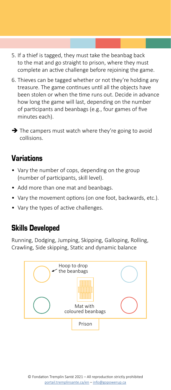- 5. If a thief is tagged, they must take the beanbag back to the mat and go straight to prison, where they must complete an active challenge before rejoining the game.
- 6. Thieves can be tagged whether or not they're holding any treasure. The game continues until all the objects have been stolen or when the time runs out. Decide in advance how long the game will last, depending on the number of participants and beanbags (e.g., four games of five minutes each).

 $\rightarrow$  The campers must watch where they're going to avoid collisions.

#### Variations

- Vary the number of cops, depending on the group (number of participants, skill level).
- Add more than one mat and beanbags.
- Vary the movement options (on one foot, backwards, etc.).
- Vary the types of active challenges.

### Skills Developed

Running, Dodging, Jumping, Skipping, Galloping, Rolling, Crawling, Side skipping, Static and dynamic balance

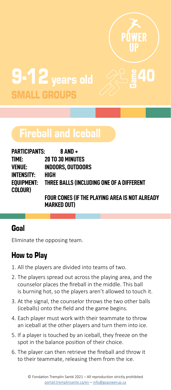

# 9-12 years old SMALL GROUPS

# Fireball and Iceball

| PARTICIPANTS:     | 8 AND +                                              |
|-------------------|------------------------------------------------------|
| TIME:             | <b>20 TO 30 MINUTES</b>                              |
| VENUE:            | <b>INDOORS. OUTDOORS</b>                             |
| <b>INTENSITY:</b> | HIGH                                                 |
| COLOUR)           | EQUIPMENT: THREE BALLS (INCLUDING ONE OF A DIFFERENT |
|                   | EQUIR CONFS (IF THE PLAYING AREA IS NOT ALREA        |

**FOUR CONES (IF THE PLAYING AREA IS NOT ALREADY MARKED OUT)**

# Goal

Eliminate the opposing team.

- 1. All the players are divided into teams of two.
- 2. The players spread out across the playing area, and the counselor places the fireball in the middle. This ball is burning hot, so the players aren't allowed to touch it.
- 3. At the signal, the counselor throws the two other balls (iceballs) onto the field and the game begins.
- 4. Each player must work with their teammate to throw an iceball at the other players and turn them into ice.
- 5. If a player is touched by an iceball, they freeze on the spot in the balance position of their choice.
- 6. The player can then retrieve the fireball and throw it to their teammate, releasing them from the ice.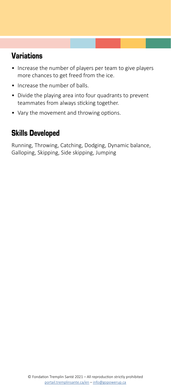- Increase the number of players per team to give players more chances to get freed from the ice.
- Increase the number of balls.
- Divide the playing area into four quadrants to prevent teammates from always sticking together.
- Vary the movement and throwing options.

## Skills Developed

Running, Throwing, Catching, Dodging, Dynamic balance, Galloping, Skipping, Side skipping, Jumping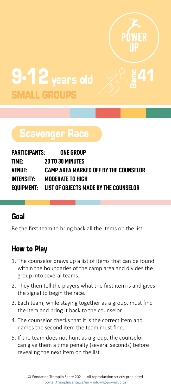

# 9-12 years old SMALL GROUPS

# Scavenger Race

| PARTICIPANTS:     | ONE GROUP                                        |
|-------------------|--------------------------------------------------|
| TIME:             | <b>20 TO 30 MINUTES</b>                          |
| VENUE:            | CAMP AREA MARKED OFF BY THE COUNSELOR            |
| <b>INTENSITY:</b> | <b>MODERATE TO HIGH</b>                          |
|                   | EQUIPMENT: LIST OF OBJECTS MADE BY THE COUNSELOR |

#### Goal

Be the first team to bring back all the items on the list.

- 1. The counselor draws up a list of items that can be found within the boundaries of the camp area and divides the group into several teams.
- 2. They then tell the players what the first item is and gives the signal to begin the race.
- 3. Each team, while staying together as a group, must find the item and bring it back to the counselor.
- 4. The counselor checks that it is the correct item and names the second item the team must find.
- 5. If the team does not hunt as a group, the counselor can give them a time penalty (several seconds) before revealing the next item on the list.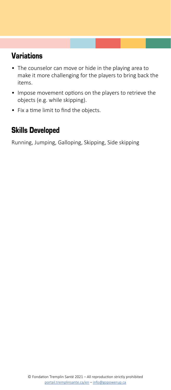- The counselor can move or hide in the playing area to make it more challenging for the players to bring back the items.
- Impose movement options on the players to retrieve the objects (e.g. while skipping).
- Fix a time limit to find the objects.

## Skills Developed

Running, Jumping, Galloping, Skipping, Side skipping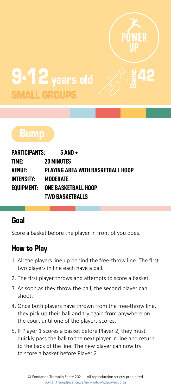

 $\frac{2}{3}$ 42

# 9-12 years old **MALL GROUPS**



| PARTICIPANTS: | $5$ AND +                         |
|---------------|-----------------------------------|
| TIME:         | <b>20 MINUTES</b>                 |
| VENUE:        | PLAYING AREA WITH BASKETBALL HOOP |
| INTENSITY:    | MODERATE                          |
|               | EOUIPMENT: ONE BASKETBALL HOOP    |
|               | <b>TWO BASKETBALLS</b>            |

### Goal

Score a basket before the player in front of you does.

- 1. All the players line up behind the free-throw line. The first two players in line each have a ball.
- 2. The first player throws and attempts to score a basket.
- 3. As soon as they throw the ball, the second player can shoot.
- 4. Once both players have thrown from the free-throw line, they pick up their ball and try again from anywhere on the court until one of the players scores.
- 5. If Player 1 scores a basket before Player 2, they must quickly pass the ball to the next player in line and return to the back of the line. The new player can now try to score a basket before Player 2.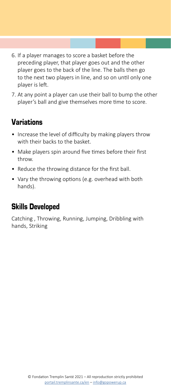- 6. If a player manages to score a basket before the preceding player, that player goes out and the other player goes to the back of the line. The balls then go to the next two players in line, and so on until only one player is left.
- 7. At any point a player can use their ball to bump the other player's ball and give themselves more time to score.

- Increase the level of difficulty by making players throw with their backs to the basket.
- Make players spin around five times before their first throw.
- Reduce the throwing distance for the first ball.
- Vary the throwing options (e.g. overhead with both hands).

### Skills Developed

Catching , Throwing, Running, Jumping, Dribbling with hands, Striking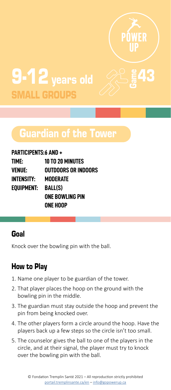

 $\frac{2}{3}$ 43

# 9-12 years old SMALL GROUPS

# Guardian of the Tower

#### **PARTICIPENTS:6 AND +**

| TIME:      | <b>10 TO 20 MINUTES</b> |
|------------|-------------------------|
| VENUE:     | OUTDOORS OR INDOORS     |
| INTENSITY: | MODERATE                |
| EOUIPMENT: | <b>BALL(S)</b>          |
|            | ONE BOWLING PIN         |
|            | ONE HOOP                |

#### Goal

Knock over the bowling pin with the ball.

- 1. Name one player to be guardian of the tower.
- 2. That player places the hoop on the ground with the bowling pin in the middle.
- 3. The guardian must stay outside the hoop and prevent the pin from being knocked over.
- 4. The other players form a circle around the hoop. Have the players back up a few steps so the circle isn't too small.
- 5. The counselor gives the ball to one of the players in the circle, and at their signal, the player must try to knock over the bowling pin with the ball.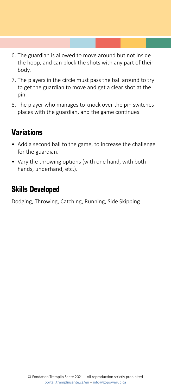- 6. The guardian is allowed to move around but not inside the hoop, and can block the shots with any part of their body.
- 7. The players in the circle must pass the ball around to try to get the guardian to move and get a clear shot at the pin.
- 8. The player who manages to knock over the pin switches places with the guardian, and the game continues.

- Add a second ball to the game, to increase the challenge for the guardian.
- Vary the throwing options (with one hand, with both hands, underhand, etc.).

## Skills Developed

Dodging, Throwing, Catching, Running, Side Skipping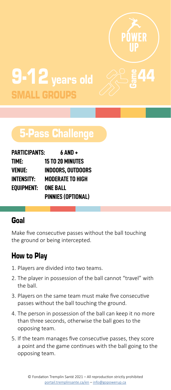

 $\frac{8}{9}$ 44

# 9-12 years old SMALL GROUPS

# 5-Pass Challenge

| <b>PARTICIPANTS:</b> | $6$ AND +                 |
|----------------------|---------------------------|
| TIME:                | <b>15 TO 20 MINUTES</b>   |
| VENUE:               | <b>INDOORS, OUTDOORS</b>  |
| INTENSITY:           | <b>MODERATE TO HIGH</b>   |
| EQUIPMENT:           | <b>ONE BALL</b>           |
|                      | <b>PINNIES (OPTIONAL)</b> |

### Goal

Make five consecutive passes without the ball touching the ground or being intercepted.

- 1. Players are divided into two teams.
- 2. The player in possession of the ball cannot "travel" with the ball.
- 3. Players on the same team must make five consecutive passes without the ball touching the ground.
- 4. The person in possession of the ball can keep it no more than three seconds, otherwise the ball goes to the opposing team.
- 5. If the team manages five consecutive passes, they score a point and the game continues with the ball going to the opposing team.